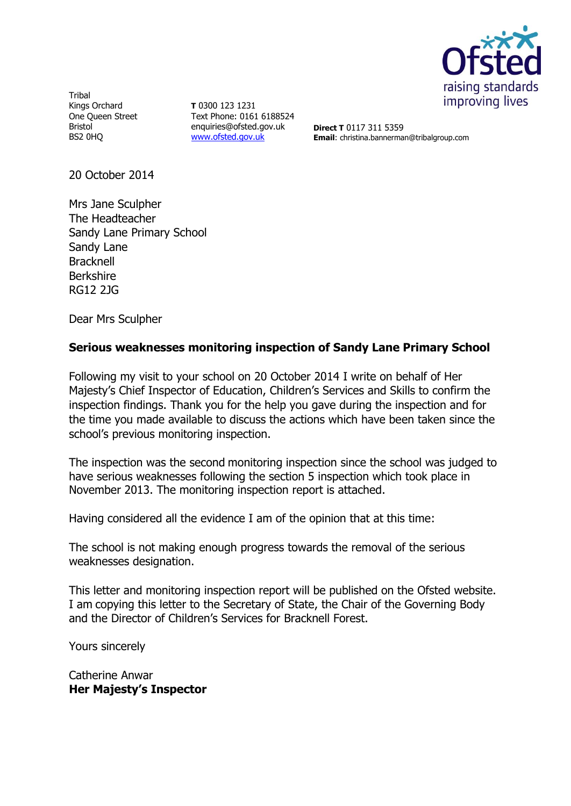

Tribal Kings Orchard One Queen Street Bristol BS2 0HQ

**T** 0300 123 1231 Text Phone: 0161 6188524 enquiries@ofsted.gov.uk [www.ofsted.gov.uk](http://www.ofsted.gov.uk/)

**Direct T** 0117 311 5359 **Email**: christina.bannerman@tribalgroup.com

20 October 2014

Mrs Jane Sculpher The Headteacher Sandy Lane Primary School Sandy Lane **Bracknell** Berkshire RG12 2JG

Dear Mrs Sculpher

#### **Serious weaknesses monitoring inspection of Sandy Lane Primary School**

Following my visit to your school on 20 October 2014 I write on behalf of Her Majesty's Chief Inspector of Education, Children's Services and Skills to confirm the inspection findings. Thank you for the help you gave during the inspection and for the time you made available to discuss the actions which have been taken since the school's previous monitoring inspection.

The inspection was the second monitoring inspection since the school was judged to have serious weaknesses following the section 5 inspection which took place in November 2013. The monitoring inspection report is attached.

Having considered all the evidence I am of the opinion that at this time:

The school is not making enough progress towards the removal of the serious weaknesses designation.

This letter and monitoring inspection report will be published on the Ofsted website. I am copying this letter to the Secretary of State, the Chair of the Governing Body and the Director of Children's Services for Bracknell Forest.

Yours sincerely

Catherine Anwar **Her Majesty's Inspector**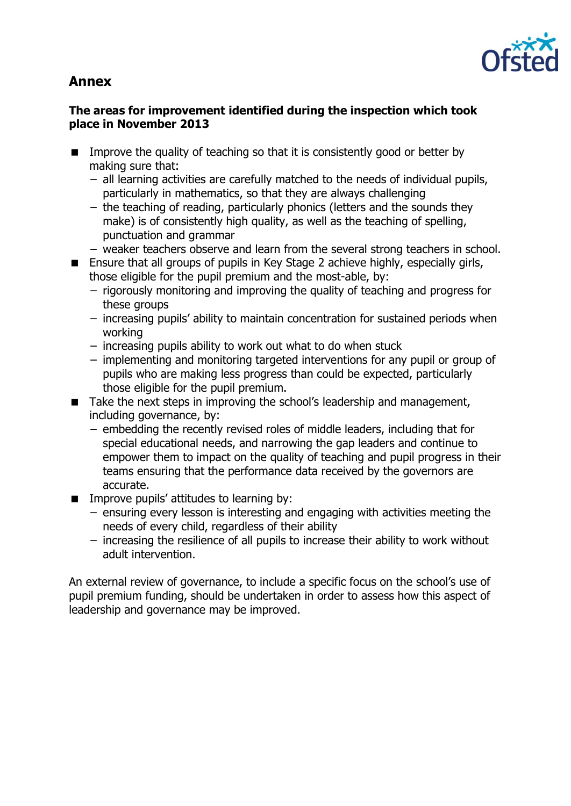# **Annex**



### **The areas for improvement identified during the inspection which took place in November 2013**

- Improve the quality of teaching so that it is consistently good or better by making sure that:
	- − all learning activities are carefully matched to the needs of individual pupils, particularly in mathematics, so that they are always challenging
	- − the teaching of reading, particularly phonics (letters and the sounds they make) is of consistently high quality, as well as the teaching of spelling, punctuation and grammar
	- − weaker teachers observe and learn from the several strong teachers in school.
- Ensure that all groups of pupils in Key Stage 2 achieve highly, especially girls, those eligible for the pupil premium and the most-able, by:
	- − rigorously monitoring and improving the quality of teaching and progress for these groups
	- − increasing pupils' ability to maintain concentration for sustained periods when working
	- − increasing pupils ability to work out what to do when stuck
	- − implementing and monitoring targeted interventions for any pupil or group of pupils who are making less progress than could be expected, particularly those eligible for the pupil premium.
- Take the next steps in improving the school's leadership and management, including governance, by:
	- − embedding the recently revised roles of middle leaders, including that for special educational needs, and narrowing the gap leaders and continue to empower them to impact on the quality of teaching and pupil progress in their teams ensuring that the performance data received by the governors are accurate.
- $\blacksquare$  Improve pupils' attitudes to learning by:
	- − ensuring every lesson is interesting and engaging with activities meeting the needs of every child, regardless of their ability
	- − increasing the resilience of all pupils to increase their ability to work without adult intervention.

An external review of governance, to include a specific focus on the school's use of pupil premium funding, should be undertaken in order to assess how this aspect of leadership and governance may be improved.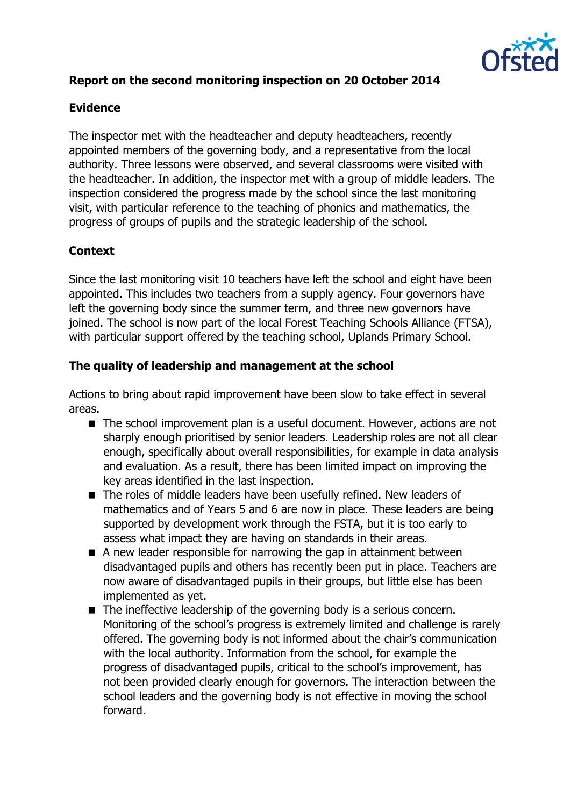

## **Report on the second monitoring inspection on 20 October 2014**

## **Evidence**

The inspector met with the headteacher and deputy headteachers, recently appointed members of the governing body, and a representative from the local authority. Three lessons were observed, and several classrooms were visited with the headteacher. In addition, the inspector met with a group of middle leaders. The inspection considered the progress made by the school since the last monitoring visit, with particular reference to the teaching of phonics and mathematics, the progress of groups of pupils and the strategic leadership of the school.

## **Context**

Since the last monitoring visit 10 teachers have left the school and eight have been appointed. This includes two teachers from a supply agency. Four governors have left the governing body since the summer term, and three new governors have joined. The school is now part of the local Forest Teaching Schools Alliance (FTSA), with particular support offered by the teaching school, Uplands Primary School.

### **The quality of leadership and management at the school**

Actions to bring about rapid improvement have been slow to take effect in several areas.

- The school improvement plan is a useful document. However, actions are not sharply enough prioritised by senior leaders. Leadership roles are not all clear enough, specifically about overall responsibilities, for example in data analysis and evaluation. As a result, there has been limited impact on improving the key areas identified in the last inspection.
- The roles of middle leaders have been usefully refined. New leaders of mathematics and of Years 5 and 6 are now in place. These leaders are being supported by development work through the FSTA, but it is too early to assess what impact they are having on standards in their areas.
- A new leader responsible for narrowing the gap in attainment between disadvantaged pupils and others has recently been put in place. Teachers are now aware of disadvantaged pupils in their groups, but little else has been implemented as yet.
- The ineffective leadership of the governing body is a serious concern. Monitoring of the school's progress is extremely limited and challenge is rarely offered. The governing body is not informed about the chair's communication with the local authority. Information from the school, for example the progress of disadvantaged pupils, critical to the school's improvement, has not been provided clearly enough for governors. The interaction between the school leaders and the governing body is not effective in moving the school forward.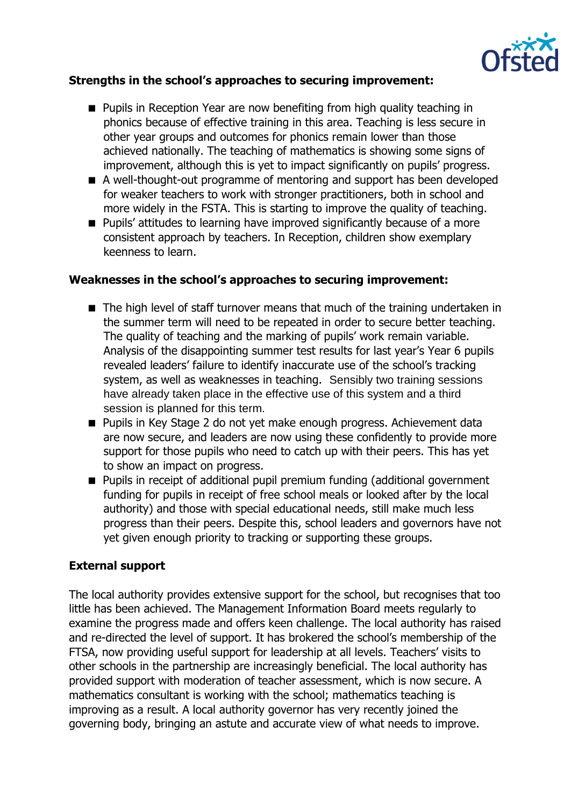

#### **Strengths in the school's approaches to securing improvement:**

- **Pupils in Reception Year are now benefiting from high quality teaching in** phonics because of effective training in this area. Teaching is less secure in other year groups and outcomes for phonics remain lower than those achieved nationally. The teaching of mathematics is showing some signs of improvement, although this is yet to impact significantly on pupils' progress.
- A well-thought-out programme of mentoring and support has been developed for weaker teachers to work with stronger practitioners, both in school and more widely in the FSTA. This is starting to improve the quality of teaching.
- **Pupils'** attitudes to learning have improved significantly because of a more consistent approach by teachers. In Reception, children show exemplary keenness to learn.

### **Weaknesses in the school's approaches to securing improvement:**

- The high level of staff turnover means that much of the training undertaken in the summer term will need to be repeated in order to secure better teaching. The quality of teaching and the marking of pupils' work remain variable. Analysis of the disappointing summer test results for last year's Year 6 pupils revealed leaders' failure to identify inaccurate use of the school's tracking system, as well as weaknesses in teaching. Sensibly two training sessions have already taken place in the effective use of this system and a third session is planned for this term.
- **Pupils in Key Stage 2 do not yet make enough progress. Achievement data** are now secure, and leaders are now using these confidently to provide more support for those pupils who need to catch up with their peers. This has yet to show an impact on progress.
- **Pupils in receipt of additional pupil premium funding (additional government** funding for pupils in receipt of free school meals or looked after by the local authority) and those with special educational needs, still make much less progress than their peers. Despite this, school leaders and governors have not yet given enough priority to tracking or supporting these groups.

#### **External support**

The local authority provides extensive support for the school, but recognises that too little has been achieved. The Management Information Board meets regularly to examine the progress made and offers keen challenge. The local authority has raised and re-directed the level of support. It has brokered the school's membership of the FTSA, now providing useful support for leadership at all levels. Teachers' visits to other schools in the partnership are increasingly beneficial. The local authority has provided support with moderation of teacher assessment, which is now secure. A mathematics consultant is working with the school; mathematics teaching is improving as a result. A local authority governor has very recently joined the governing body, bringing an astute and accurate view of what needs to improve.